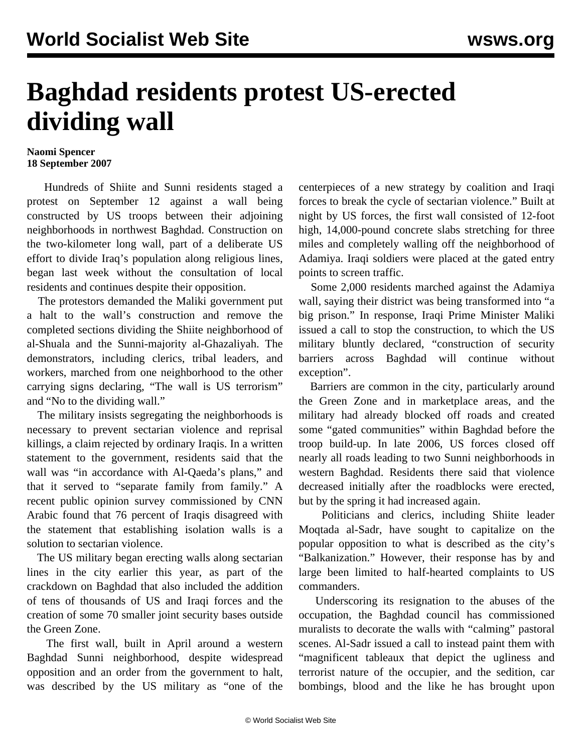## **Baghdad residents protest US-erected dividing wall**

## **Naomi Spencer 18 September 2007**

 Hundreds of Shiite and Sunni residents staged a protest on September 12 against a wall being constructed by US troops between their adjoining neighborhoods in northwest Baghdad. Construction on the two-kilometer long wall, part of a deliberate US effort to divide Iraq's population along religious lines, began last week without the consultation of local residents and continues despite their opposition.

 The protestors demanded the Maliki government put a halt to the wall's construction and remove the completed sections dividing the Shiite neighborhood of al-Shuala and the Sunni-majority al-Ghazaliyah. The demonstrators, including clerics, tribal leaders, and workers, marched from one neighborhood to the other carrying signs declaring, "The wall is US terrorism" and "No to the dividing wall."

 The military insists segregating the neighborhoods is necessary to prevent sectarian violence and reprisal killings, a claim rejected by ordinary Iraqis. In a written statement to the government, residents said that the wall was "in accordance with Al-Qaeda's plans," and that it served to "separate family from family." A recent public opinion survey commissioned by CNN Arabic found that 76 percent of Iraqis disagreed with the statement that establishing isolation walls is a solution to sectarian violence.

 The US military began erecting walls along sectarian lines in the city earlier this year, as part of the crackdown on Baghdad that also included the addition of tens of thousands of US and Iraqi forces and the creation of some 70 smaller joint security bases outside the Green Zone.

 The first wall, built in April around a western Baghdad Sunni neighborhood, despite widespread opposition and an order from the government to halt, was described by the US military as "one of the centerpieces of a new strategy by coalition and Iraqi forces to break the cycle of sectarian violence." Built at night by US forces, the first wall consisted of 12-foot high, 14,000-pound concrete slabs stretching for three miles and completely walling off the neighborhood of Adamiya. Iraqi soldiers were placed at the gated entry points to screen traffic.

 Some 2,000 residents marched against the Adamiya wall, saying their district was being transformed into "a big prison." In response, Iraqi Prime Minister Maliki issued a call to stop the construction, to which the US military bluntly declared, "construction of security barriers across Baghdad will continue without exception".

 Barriers are common in the city, particularly around the Green Zone and in marketplace areas, and the military had already blocked off roads and created some "gated communities" within Baghdad before the troop build-up. In late 2006, US forces closed off nearly all roads leading to two Sunni neighborhoods in western Baghdad. Residents there said that violence decreased initially after the roadblocks were erected, but by the spring it had increased again.

 Politicians and clerics, including Shiite leader Moqtada al-Sadr, have sought to capitalize on the popular opposition to what is described as the city's "Balkanization." However, their response has by and large been limited to half-hearted complaints to US commanders.

 Underscoring its resignation to the abuses of the occupation, the Baghdad council has commissioned muralists to decorate the walls with "calming" pastoral scenes. Al-Sadr issued a call to instead paint them with "magnificent tableaux that depict the ugliness and terrorist nature of the occupier, and the sedition, car bombings, blood and the like he has brought upon